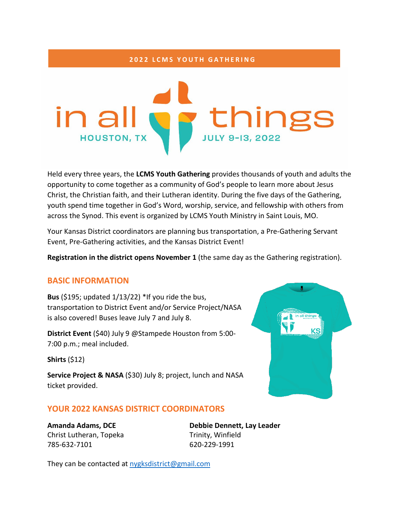#### **2022 LCMS YOUTH GATHERING**



Held every three years, the **LCMS Youth Gathering** provides thousands of youth and adults the opportunity to come together as a community of God's people to learn more about Jesus Christ, the Christian faith, and their Lutheran identity. During the five days of the Gathering, youth spend time together in God's Word, worship, service, and fellowship with others from across the Synod. This event is organized by LCMS Youth Ministry in Saint Louis, MO.

Your Kansas District coordinators are planning bus transportation, a Pre-Gathering Servant Event, Pre-Gathering activities, and the Kansas District Event!

**Registration in the district opens November 1** (the same day as the Gathering registration).

#### **BASIC INFORMATION**

**Bus** (\$195; updated 1/13/22) \*If you ride the bus, transportation to District Event and/or Service Project/NASA is also covered! Buses leave July 7 and July 8.

**District Event** (\$40) July 9 @Stampede Houston from 5:00- 7:00 p.m.; meal included.

**Shirts** (\$12)

**Service Project & NASA** (\$30) July 8; project, lunch and NASA ticket provided.

# **YOUR 2022 KANSAS DISTRICT COORDINATORS**

Christ Lutheran, Topeka Trinity, Winfield 785-632-7101 620-229-1991

**Amanda Adams, DCE Debbie Dennett, Lay Leader**

n all things

KS

They can be contacted at [nygksdistrict@gmail.com](mailto:nygksdistrict@gmail.com)